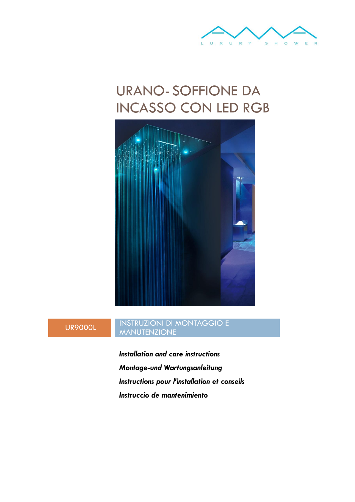

# URANO-SOFFIONE DA INCASSO CON LED RGB



# UR9000L

## INSTRUZIONI DI MONTAGGIO E **MANUTENZIONE**

*Installation and care instructions Montage-und Wartungsanleitung Instructions pour l'installation et conseils Instruccio de mantenimiento*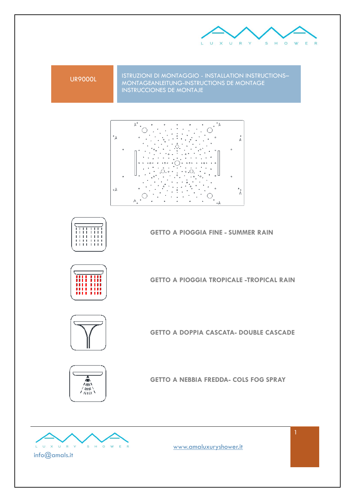

UR9000L ISTRUZIONI DI MONTAGGIO - INSTALLATION INSTRUCTIONS–<br>MONTAGEANLEITUNG-INSTRUCTIONS DE MONTAGE INSTRUCCIONES DE MONTAJE





**GETTO A PIOGGIA FINE - SUMMER RAIN**



**GETTO A PIOGGIA TROPICALE -TROPICAL RAIN**



**GETTO A DOPPIA CASCATA- DOUBLE CASCADE**



**GETTO A NEBBIA FREDDA- COLS FOG SPRAY**



info@amals.it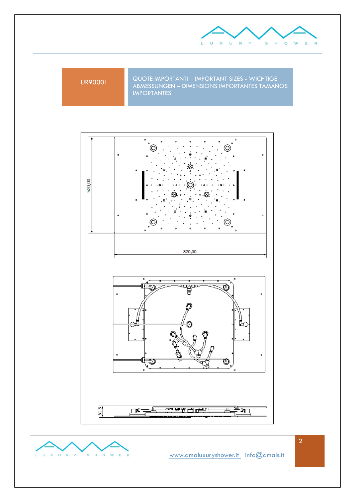

UR9000L QUOTE IMPORTANTI – IMPORTANT SIZES - WICHTIGE<br>ABMESSUNGEN – DIMENSIONS IMPORTANTES TAMAÑOS IMPORTANTES





2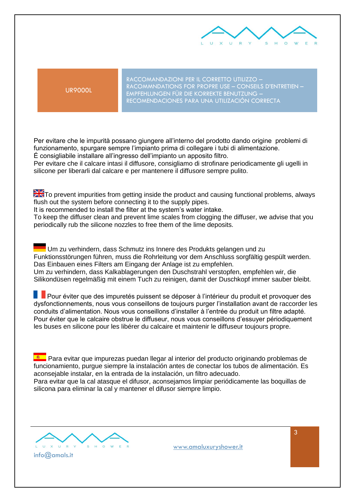

UR9000L

RACCOMANDAZIONI PER IL CORRETTO UTILIZZO – RACOMMNDATIONS FOR PROPRE USE – CONSEILS D'ENTRETIEN – EMPFEHLUNGEN FÜR DIE KORREKTE BENUTZUNG – RECOMENDACIONES PARA UNA UTILIZACIÓN CORRECTA

Per evitare che le impurità possano giungere all'interno del prodotto dando origine problemi di funzionamento, spurgare sempre l'impianto prima di collegare i tubi di alimentazione. É consigliabile installare all'ingresso dell'impianto un apposito filtro.

Per evitare che il calcare intasi il diffusore, consigliamo di strofinare periodicamente gli ugelli in silicone per liberarli dal calcare e per mantenere il diffusore sempre pulito.

**ZK**To prevent impurities from getting inside the product and causing functional problems, always flush out the system before connecting it to the supply pipes.

It is recommended to install the filter at the system's water intake.

To keep the diffuser clean and prevent lime scales from clogging the diffuser, we advise that you periodically rub the silicone nozzles to free them of the lime deposits.

Um zu verhindern, dass Schmutz ins Innere des Produkts gelangen und zu Funktionsstörungen führen, muss die Rohrleitung vor dem Anschluss sorgfältig gespült werden. Das Einbauen eines Filters am Eingang der Anlage ist zu empfehlen. Um zu verhindern, dass Kalkablagerungen den Duschstrahl verstopfen, empfehlen wir, die Silikondüsen regelmäßig mit einem Tuch zu reinigen, damit der Duschkopf immer sauber bleibt.

**Pour éviter que des impuretés puissent se déposer à l'intérieur du produit et provoquer des** dysfonctionnements, nous vous conseillons de toujours purger l'installation avant de raccorder les conduits d'alimentation. Nous vous conseillons d'installer à l'entrée du produit un filtre adapté. Pour éviter que le calcaire obstrue le diffuseur, nous vous conseillons d'essuyer périodiquement les buses en silicone pour les libérer du calcaire et maintenir le diffuseur toujours propre.

**Raja** Para evitar que impurezas puedan llegar al interior del producto originando problemas de funcionamiento, purgue siempre la instalación antes de conectar los tubos de alimentación. Es aconsejable instalar, en la entrada de la instalación, un filtro adecuado.

Para evitar que la cal atasque el difusor, aconsejamos limpiar periódicamente las boquillas de silicona para eliminar la cal y mantener el difusor siempre limpio.

X U R Y  $\circ$ info@amals.it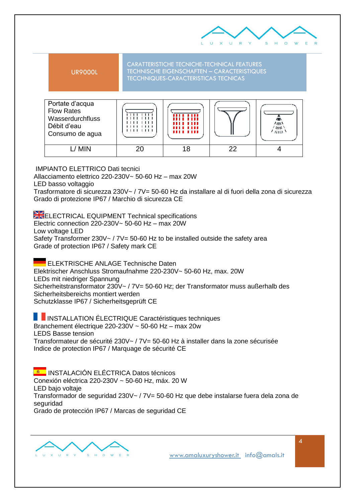



IMPIANTO ELETTRICO Dati tecnici

Allacciamento elettrico 220-230V~ 50-60 Hz – max 20W

LED basso voltaggio

Trasformatore di sicurezza 230V~ / 7V= 50-60 Hz da installare al di fuori della zona di sicurezza Grado di protezione IP67 / Marchio di sicurezza CE

ELECTRICAL EQUIPMENT Technical specifications Electric connection 220-230V~ 50-60 Hz – max 20W Low voltage LED Safety Transformer 230V $\sim$  / 7V= 50-60 Hz to be installed outside the safety area Grade of protection IP67 / Safety mark CE

ELEKTRISCHE ANLAGE Technische Daten Elektrischer Anschluss Stromaufnahme 220-230V~ 50-60 Hz, max. 20W LEDs mit niedriger Spannung Sicherheitstransformator 230V~ / 7V= 50-60 Hz; der Transformator muss außerhalb des Sicherheitsbereichs montiert werden Schutzklasse IP67 / Sicherheitsgeprüft CE

**I**INSTALLATION ÉLECTRIQUE Caractéristiques techniques Branchement électrique 220-230V ~ 50-60 Hz – max 20w LEDS Basse tension Transformateur de sécurité 230V~ / 7V= 50-60 Hz à installer dans la zone sécurisée Indice de protection IP67 / Marquage de sécurité CE

**E | INSTALACIÓN ELÉCTRICA Datos técnicos** Conexión eléctrica 220-230V ~ 50-60 Hz, máx. 20 W LED bajo voltaje Transformador de seguridad 230V~ / 7V= 50-60 Hz que debe instalarse fuera dela zona de seguridad Grado de protección IP67 / Marcas de seguridad CE

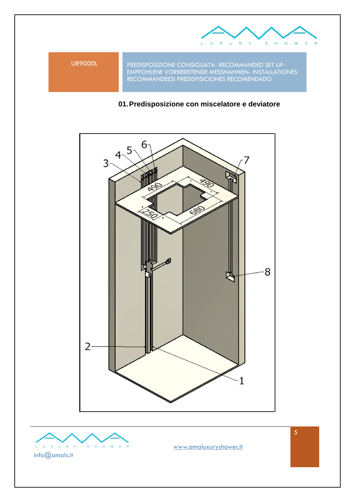

UR9000L PREDISPOSIZIONE CONSIGLIATA -RECOMMANDED SET UP-EMPFOHLENE VORBEREITENDE MESSNAHMEN- INSTALLATIONES RECOMMANDEESI PREDISPISICIONES RECOMENDADO

# **01.Predisposizione con miscelatore e deviatore**



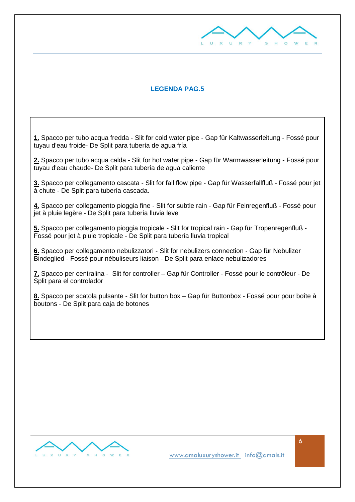

### **LEGENDA PAG.5**

**1.** Spacco per tubo acqua fredda - Slit for cold water pipe - Gap für Kaltwasserleitung - Fossé pour tuyau d'eau froide- De Split para tubería de agua fría

**2.** Spacco per tubo acqua calda - Slit for hot water pipe - Gap für Warmwasserleitung - Fossé pour tuyau d'eau chaude- De Split para tubería de agua caliente

**3.** Spacco per collegamento cascata - Slit for fall flow pipe - Gap für Wasserfallfluß - Fossé pour jet à chute - De Split para tubería cascada.

**4.** Spacco per collegamento pioggia fine - Slit for subtle rain - Gap für Feinregenfluß - Fossé pour jet à pluie legère - De Split para tubería lluvia leve

**5.** Spacco per collegamento pioggia tropicale - Slit for tropical rain - Gap für Tropenregenfluß - Fossé pour jet à pluie tropicale - De Split para tubería lluvia tropical

**6.** Spacco per collegamento nebulizzatori - Slit for nebulizers connection - Gap für Nebulizer Bindeglied - Fossé pour nébuliseurs liaison - De Split para enlace nebulizadores

**7.** Spacco per centralina - Slit for controller – Gap für Controller - Fossé pour le contrôleur - De Split para el controlador

**8.** Spacco per scatola pulsante - Slit for button box – Gap für Buttonbox - Fossé pour pour boîte à boutons - De Split para caja de botones

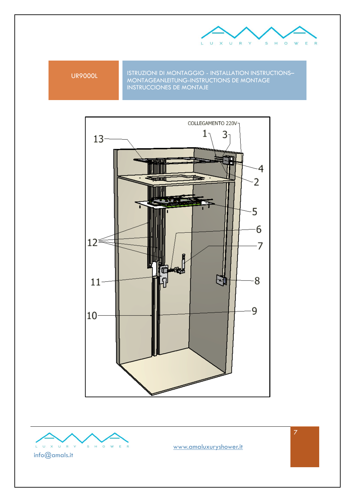

UR9000L ISTRUZIONI DI MONTAGGIO - INSTALLATION INSTRUCTIONS–<br>MONTAGEANLEITUNG-INSTRUCTIONS DE MONTAGE INSTRUCCIONES DE MONTAJE





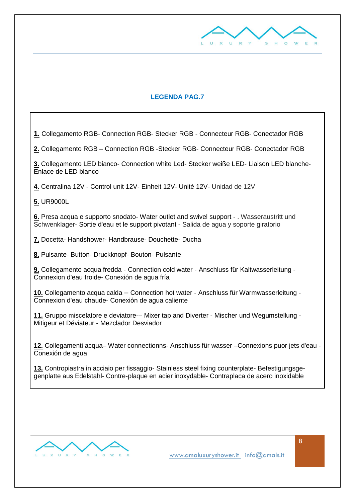

## **LEGENDA PAG.7**

**1.** Collegamento RGB- Connection RGB- Stecker RGB - Connecteur RGB- Conectador RGB **2.** Collegamento RGB – Connection RGB -Stecker RGB- Connecteur RGB- Conectador RGB **3.** Collegamento LED bianco- Connection white Led- Stecker weiße LED- Liaison LED blanche-Enlace de LED blanco **4.** Centralina 12V - Control unit 12V- Einheit 12V- Unité 12V- Unidad de 12V **5.** UR9000L **6.** Presa acqua e supporto snodato- Water outlet and swivel support - . Wasseraustritt und Schwenklager- Sortie d'eau et le support pivotant - Salida de agua y soporte giratorio **7.** Docetta- Handshower- Handbrause- Douchette- Ducha **8.** Pulsante- Button- Druckknopf- Bouton- Pulsante **9.** Collegamento acqua fredda - Connection cold water - Anschluss für Kaltwasserleitung - Connexion d'eau froide- Conexión de agua fría **10.** Collegamento acqua calda – Connection hot water - Anschluss für Warmwasserleitung - Connexion d'eau chaude- Conexión de agua caliente **11.** Gruppo miscelatore e deviatore-– Mixer tap and Diverter - Mischer und Wegumstellung - Mitigeur et Déviateur - Mezclador Desviador **12.** Collegamenti acqua– Water connectionns- Anschluss für wasser –Connexions puor jets d'eau - Conexión de agua **13.** Contropiastra in acciaio per fissaggio- Stainless steel fixing counterplate- Befestigungsgegenplatte aus Edelstahl- Contre-plaque en acier inoxydable- Contraplaca de acero inoxidable

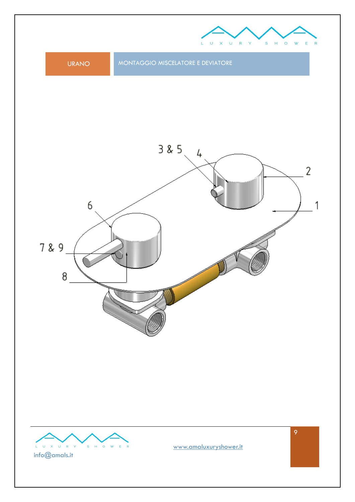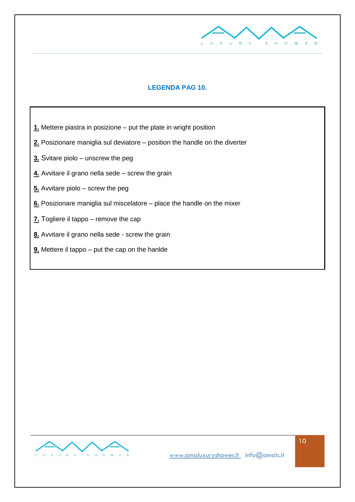

# **LEGENDA PAG 10.**

- **1.** Mettere piastra in posizione put the plate in wright position
- **2.** Posizionare maniglia sul deviatore position the handle on the diverter
- **3.** Svitare piolo unscrew the peg
- **4.** Avvitare il grano nella sede screw the grain
- **5.** Avvitare piolo screw the peg
- **6.** Posizionare maniglia sul miscelatore place the handle on the mixer
- **7.** Togliere il tappo remove the cap
- **8.** Avvitare il grano nella sede screw the grain
- **9.** Mettere il tappo put the cap on the hanlde

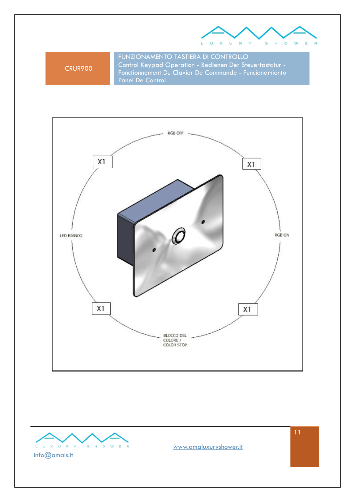

CRUR900

FUNZIONAMENTO TASTIERA DI CONTROLLO Control Keypad Operation - Bedienen Der Steuertastatur - Fonctionnement Du Clavier De Commande - Funcionamiento Panel De Control





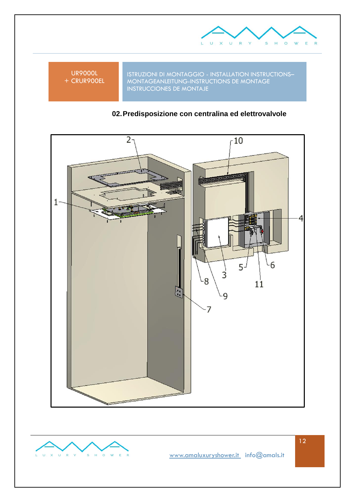

UR9000L + CRUR900EL

ISTRUZIONI DI MONTAGGIO - INSTALLATION INSTRUCTIONS– MONTAGEANLEITUNG-INSTRUCTIONS DE MONTAGE INSTRUCCIONES DE MONTAJE

# **02.Predisposizione con centralina ed elettrovalvole**





[www.amaluxuryshower.](http://www.amaluxurishower/)it info@amals.it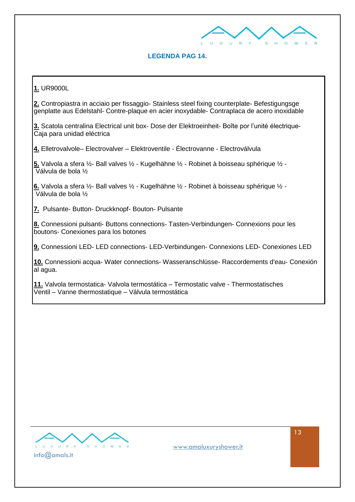

### **LEGENDA PAG 14.**

**1.** UR9000L

**2.** Contropiastra in acciaio per fissaggio- Stainless steel fixing counterplate- Befestigungsge genplatte aus Edelstahl- Contre-plaque en acier inoxydable- Contraplaca de acero inoxidable

**3.** Scatola centralina Electrical unit box- Dose der Elektroeinheit- Boîte por l'unité électrique-Caja para unidad eléctrica

**4.** Elletrovalvole– Electrovalver – Elektroventile - Électrovanne - Electroválvula

**5.** Valvola a sfera ½- Ball valves ½ - Kugelhähne ½ - Robinet à boisseau sphérique ½ - Válvula de bola ½

**6.** Valvola a sfera ½- Ball valves ½ - Kugelhähne ½ - Robinet à boisseau sphérique ½ -  $\overline{\mathsf{V}}$ álvula de bola  $\mathscr{V}_2$ 

**7.** Pulsante- Button- Druckknopf- Bouton- Pulsante

**8.** Connessioni pulsanti- Buttons connections- Tasten-Verbindungen- Connexions pour les boutons- Conexiones para los botones

**9.** Connessioni LED- LED connections- LED-Verbindungen- Connexions LED- Conexiones LED

**10.** Connessioni acqua- Water connections- Wasseranschlüsse- Raccordements d'eau- Conexión al agua.

**11.** Valvola termostatica- Valvola termostática – Termostatic valve - Thermostatisches Ventil – Vanne thermostatique – Válvula termostática

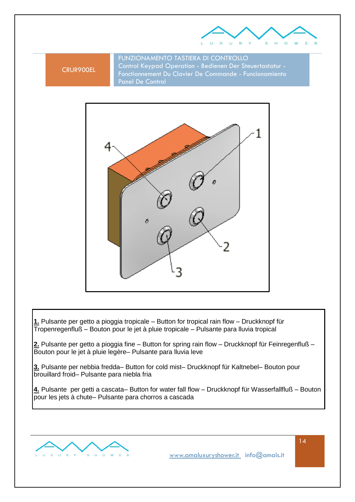

#### CRUR900EL

FUNZIONAMENTO TASTIERA DI CONTROLLO Control Keypad Operation - Bedienen Der Steuertastatur - Fonctionnement Du Clavier De Commande - Funcionamiento Panel De Control





**1.** Pulsante per getto a pioggia tropicale – Button for tropical rain flow – Druckknopf für Tropenregenfluß – Bouton pour le jet à pluie tropicale – Pulsante para lluvia tropical

**2.** Pulsante per getto a pioggia fine – Button for spring rain flow – Druckknopf für Feinregenfluß – Bouton pour le jet à pluie legère– Pulsante para lluvia leve

**3.** Pulsante per nebbia fredda– Button for cold mist– Druckknopf für Kaltnebel– Bouton pour brouillard froid– Pulsante para niebla fria

**4.** Pulsante per getti a cascata– Button for water fall flow – Druckknopf für Wasserfallfluß – Bouton pour les jets à chute– Pulsante para chorros a cascada

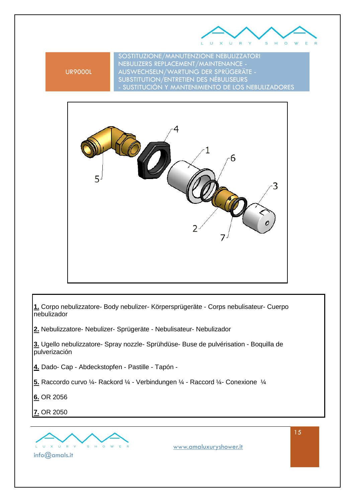

UR9000L

SOSTITUZIONE/MANUTENZIONE NEBULIZZATORI NEBULIZERS REPLACEMENT/MAINTENANCE - AUSWECHSELN/WARTUNG DER SPRÜGERÄTE - SUBSTITUTION/ENTRETIEN DES NÉBULISEURS - SUSTITUCIÓN Y MANTENIMIENTO DE LOS NEBULIZADORES



**1.** Corpo nebulizzatore- Body nebulizer- Körpersprügeräte - Corps nebulisateur- Cuerpo nebulizador

**2.** Nebulizzatore- Nebulizer- Sprügeräte - Nebulisateur- Nebulizador

**3.** Ugello nebulizzatore- Spray nozzle- Sprühdüse- Buse de pulvérisation - Boquilla de pulverización

**4.** Dado- Cap - Abdeckstopfen - Pastille - Tapón -

**5.** Raccordo curvo ¼- Rackord ¼ - Verbindungen ¼ - Raccord ¼- Conexione ¼

**6.** OR 2056

**7.** OR 2050

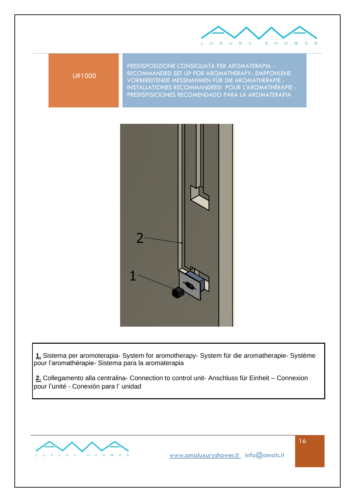

UR1000

PREDISPOSIZIONE CONSIGLIATA PER AROMATERAPIA - RECOMMANDED SET UP FOR AROMATHERAPY- EMPFOHLENE VORBEREITENDE MESSNAHMEN FÜR DIE AROMATHERAPIE - INSTALLATIONES RECOMMANDEESI POUR L'AROMATHÉRAPIE - PREDISPISICIONES RECOMENDADO PARA LA AROMATERAPIA



**1.** Sistema per aromoterapia- System for aromotherapy- System für die aromatherapie- Système pour l'aromathérapie- Sistema para la aromaterapia

**2.** Collegamento alla centralina- Connection to control unit- Anschluss für Einheit – Connexion pour l'unité - Conexión para l' unidad

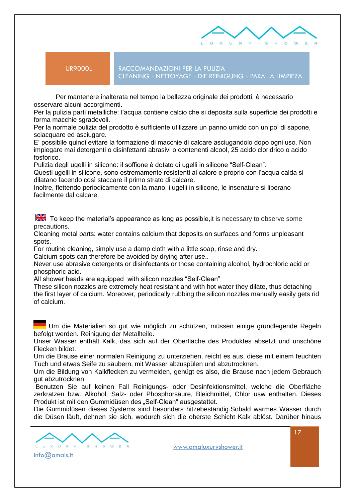

UR9000L RACCOMANDAZIONI PER LA PULIZIA CLEANING - NETTOYAGE - DIE REINIGUNG - PARA LA LIMPIEZA

 Per mantenere inalterata nel tempo la bellezza originale dei prodotti, è necessario osservare alcuni accorgimenti.

Per la pulizia parti metalliche: l'acqua contiene calcio che si deposita sulla superficie dei prodotti e forma macchie sgradevoli.

Per la normale pulizia del prodotto è sufficiente utilizzare un panno umido con un po' di sapone, sciacquare ed asciugare.

E' possibile quindi evitare la formazione di macchie di calcare asciugandolo dopo ogni uso. Non impiegare mai detergenti o disinfettanti abrasivi o contenenti alcool, 25 acido cloridrico o acido fosforico.

Pulizia degli ugelli in silicone: il soffione è dotato di ugelli in silicone "Self-Clean".

Questi ugelli in silicone, sono estremamente resistenti al calore e proprio con l'acqua calda si dilatano facendo così staccare il primo strato di calcare.

Inoltre, flettendo periodicamente con la mano, i ugelli in silicone, le insenature si liberano facilmente dal calcare.

 $\frac{\text{N}}{\text{Z}}$  To keep the material's appearance as long as possible, it is necessary to observe some precautions.

Cleaning metal parts: water contains calcium that deposits on surfaces and forms unpleasant spots.

For routine cleaning, simply use a damp cloth with a little soap, rinse and dry.

Calcium spots can therefore be avoided by drying after use..

Never use abrasive detergents or disinfectants or those containing alcohol, hydrochloric acid or phosphoric acid.

All shower heads are equipped with silicon nozzles "Self-Clean"

These silicon nozzles are extremely heat resistant and with hot water they dilate, thus detaching the first layer of calcium. Moreover, periodically rubbing the silicon nozzles manually easily gets rid of calcium.

Um die Materialien so gut wie möglich zu schützen, müssen einige grundlegende Regeln befolgt werden. Reinigung der Metallteile.

Unser Wasser enthält Kalk, das sich auf der Oberfläche des Produktes absetzt und unschöne Flecken bildet.

Um die Brause einer normalen Reinigung zu unterziehen, reicht es aus, diese mit einem feuchten Tuch und etwas Seife zu säubern, mit Wasser abzuspülen und abzutrocknen.

Um die Bildung von Kalkflecken zu vermeiden, genügt es also, die Brause nach jedem Gebrauch gut abzutrocknen

Benutzen Sie auf keinen Fall Reinigungs- oder Desinfektionsmittel, welche die Oberfläche zerkratzen bzw. Alkohol, Salz- oder Phosphorsäure, Bleichmittel, Chlor usw enthalten. Dieses Produkt ist mit den Gummidüsen des "Self-Clean" ausgestattet.

Die Gummidüsen dieses Systems sind besonders hitzebeständig.Sobald warmes Wasser durch die Düsen läuft, dehnen sie sich, wodurch sich die oberste Schicht Kalk ablöst. Darüber hinaus

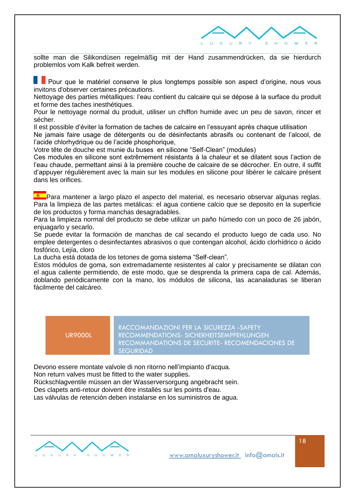

sollte man die Silikondüsen regelmäßig mit der Hand zusammendrücken, da sie hierdurch problemlos vom Kalk befreit werden.

Pour que le matériel conserve le plus longtemps possible son aspect d'origine, nous vous invitons d'observer certaines précautions.

Nettoyage des parties métalliques: l'eau contient du calcaire qui se dépose à la surface du produit et forme des taches inesthétiques.

Pour le nettoyage normal du produit, utiliser un chiffon humide avec un peu de savon, rincer et sécher.

Il est possible d'éviter la formation de taches de calcaire en l'essuyant après chaque utilisation

Ne jamais faire usage de détergents ou de désinfectants abrasifs ou contenant de l'alcool, de l'acide chlorhydrique ou de l'acide phosphorique,

Votre tête de douche est munie du buses en silicone "Self-Clean" (modules)

Ces modules en silicone sont extrêmement résistants à la chaleur et se dilatent sous l'action de l'eau chaude, permettant ainsi à la première couche de calcaire de se décrocher. En outre, il suffit d'appuyer régulièrement avec la main sur les modules en silicone pour libérer le calcaire présent dans les orifices.

**A Para mantener a largo plazo el aspecto del material, es necesario observar algunas reglas.** Para la limpieza de las partes metálicas: el agua contiene calcio que se deposito en la superficie de los productos y forma manchas desagradables.

Para la limpieza normal del producto se debe utilizar un paño húmedo con un poco de 26 jabón, enjuagarlo y secarlo.

Se puede evitar la formación de manchas de cal secando el producto luego de cada uso. No emplee detergentes o desinfectantes abrasivos o que contengan alcohol, ácido clorhídrico o ácido fosfórico, Lejía, cloro

La ducha está dotada de los tetones de goma sistema "Self-clean".

Estos módulos de goma, son extremadamente resistentes al calor y precisamente se dilatan con el agua caliente permitiendo, de este modo, que se desprenda la primera capa de cal. Además, doblando periódicamente con la mano, los módulos de silicona, las acanaladuras se liberan fácilmente del calcáreo.

#### UR9000L

RACCOMANDAZIONI PER LA SICUREZZA -SAFETY RECOMMENDATIONS- SICHERHEITSEMPFEHLUNGEN RECOMMANDATIONS DE SECURITE- RECOMENDACIONES DE **SEGURIDAD** 

Devono essere montate valvole di non ritorno nell'impianto d'acqua. Non return valves must be fitted to the water supplies. Rückschlagventile müssen an der Wasserversorgung angebracht sein. Des clapets anti-retour doivent être installés sur les points d'eau.

Las válvulas de retención deben instalarse en los suministros de agua.

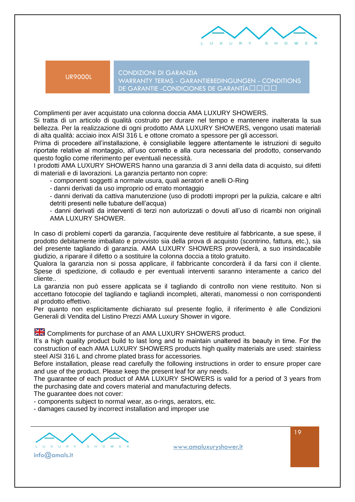

UR9000L CONDIZIONI DI GARANZIA WARRANTY TERMS - GARANTIEBEDINGUNGEN - CONDITIONS DE GARANTIE - CONDICIONES DE GARANTÍA• f ••

Complimenti per aver acquistato una colonna doccia AMA LUXURY SHOWERS.

Si tratta di un articolo di qualità costruito per durare nel tempo e mantenere inalterata la sua bellezza. Per la realizzazione di ogni prodotto AMA LUXURY SHOWERS, vengono usati materiali di alta qualità: acciaio inox AISI 316 L e ottone cromato a spessore per gli accessori.

Prima di procedere all'installazione, è consigliabile leggere attentamente le istruzioni di seguito riportate relative al montaggio, all'uso corretto e alla cura necessaria del prodotto, conservando questo foglio come riferimento per eventuali necessità.

I prodotti AMA LUXURY SHOWERS hanno una garanzia di 3 anni della data di acquisto, sui difetti di materiali e di lavorazioni. La garanzia pertanto non copre:

- componenti soggetti a normale usura, quali aeratori e anelli O-Ring
- danni derivati da uso improprio od errato montaggio

- danni derivati da cattiva manutenzione (uso di prodotti impropri per la pulizia, calcare e altri detriti presenti nelle tubature dell'acqua)

- danni derivati da interventi di terzi non autorizzati o dovuti all'uso di ricambi non originali AMA LUXURY SHOWER.

In caso di problemi coperti da garanzia, l'acquirente deve restituire al fabbricante, a sue spese, il prodotto debitamente imballato e provvisto sia della prova di acquisto (scontrino, fattura, etc.), sia del presente tagliando di garanzia. AMA LUXURY SHOWERS provvederà, a suo insindacabile giudizio, a riparare il difetto o a sostituire la colonna doccia a titolo gratuito.

Qualora la garanzia non si possa applicare, il fabbricante concorderà il da farsi con il cliente. Spese di spedizione, di collaudo e per eventuali interventi saranno interamente a carico del cliente..

La garanzia non può essere applicata se il tagliando di controllo non viene restituito. Non si accettano fotocopie del tagliando e tagliandi incompleti, alterati, manomessi o non corrispondenti al prodotto effettivo.

Per quanto non esplicitamente dichiarato sul presente foglio, il riferimento è alle Condizioni Generali di Vendita del Listino Prezzi AMA Luxury Shower in vigore.

**EX** Compliments for purchase of an AMA LUXURY SHOWERS product.

It's a high quality product build to last long and to maintain unaltered its beauty in time. For the construction of each AMA LUXURY SHOWERS products high quality materials are used: stainless steel AISI 316 L and chrome plated brass for accessories.

Before installation, please read carefully the following instructions in order to ensure proper care and use of the product. Please keep the present leaf for any needs.

The guarantee of each product of AMA LUXURY SHOWERS is valid for a period of 3 years from the purchasing date and covers material and manufacturing defects.

The guarantee does not cover:

- components subject to normal wear, as o-rings, aerators, etc.

- damages caused by incorrect installation and improper use

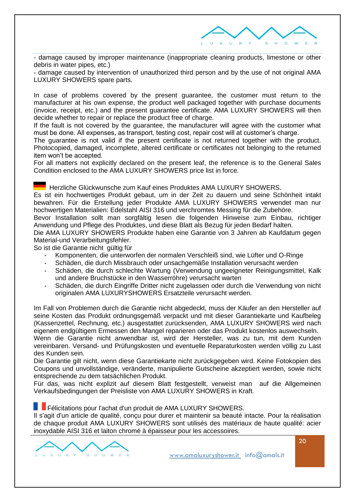

- damage caused by improper maintenance (inappropriate cleaning products, limestone or other debris in water pipes, etc.)

- damage caused by intervention of unauthorized third person and by the use of not original AMA LUXURY SHOWERS spare parts.

In case of problems covered by the present guarantee, the customer must return to the manufacturer at his own expense, the product well packaged together with purchase documents (invoice, receipt, etc.) and the present guarantee certificate. AMA LUXURY SHOWERS will then decide whether to repair or replace the product free of charge.

If the fault is not covered by the guarantee, the manufacturer will agree with the customer what must be done. All expenses, as transport, testing cost, repair cost will at customer's charge.

The guarantee is not valid if the present certificate is not returned together with the product. Photocopied, damaged, incomplete, altered certificate or certificates not belonging to the returned item won't be accepted.

For all matters not explicitly declared on the present leaf, the reference is to the General Sales Condition enclosed to the AMA LUXURY SHOWERS price list in force.

Herzliche Glückwunsche zum Kauf eines Produktes AMA LUXURY SHOWERS.

Es ist ein hochwertiges Produkt gebaut, um in der Zeit zu dauern und seine Schönheit intakt bewahren. Für die Erstellung jeder Produkte AMA LUXURY SHOWERS verwendet man nur hochwertigen Materialien: Edelstahl AISI 316 und verchromtes Messing für die Zubehöre.

Bevor Installation sollt man sorgfältig lesen die folgenden Hinweise zum Einbau, richtiger Anwendung und Pflege des Produktes, und diese Blatt als Bezug für jeden Bedarf halten.

Die AMA LUXURY SHOWERS Produkte haben eine Garantie von 3 Jahren ab Kaufdatum gegen Material-und Verarbeitungsfehler.

So ist die Garantie nicht gültig für

- Komponenten, die unterworfen der normalen Verschleiß sind, wie Lüfter und O-Ringe
- Schäden, die durch Missbrauch oder unsachgemäße Installation verursacht werden
- Schäden, die durch schlechte Wartung (Verwendung ungeeigneter Reinigungsmittel, Kalk und andere Bruchstücke in den Wasserröhre) verursacht warten
- Schäden, die durch Eingriffe Dritter nicht zugelassen oder durch die Verwendung von nicht originalen AMA LUXURYSHOWERS Ersatzteile verursacht werden.

Im Fall von Problemen durch die Garantie nicht abgedeckt, muss der Käufer an den Hersteller auf seine Kosten das Produkt ordnungsgemäß verpackt und mit dieser Garantiekarte und Kaufbeleg (Kassenzettel, Rechnung, etc.) ausgestattet zurücksenden, AMA LUXURY SHOWERS wird nach eigenem endgültigem Ermessen den Mangel reparieren oder das Produkt kostenlos auswechseln. Wenn die Garantie nicht anwendbar ist, wird der Hersteller, was zu tun, mit dem Kunden

vereinbaren. Versand- und Prüfungskosten und eventuelle Reparaturkosten werden völlig zu Last des Kunden sein.

Die Garantie gilt nicht, wenn diese Garantiekarte nicht zurückgegeben wird. Keine Fotokopien des Coupons und unvollständige, veränderte, manipulierte Gutscheine akzeptiert werden, sowie nicht entsprechende zu dem tatsächlichen Produkt.

Für das, was nicht explizit auf diesem Blatt festgestellt, verweist man auf die Allgemeinen Verkaufsbedingungen der Preisliste von AMA LUXURY SHOWERS in Kraft.

#### Félicitations pour l'achat d'un produit de AMA LUXURY SHOWERS.

Il s'agit d'un article de qualité, conçu pour durer et maintenir sa beauté intacte. Pour la réalisation de chaque produit AMA LUXURY SHOWERS sont utilisés des matériaux de haute qualité: acier inoxydable AISI 316 et laiton chromé à épaisseur pour les accessoires.



20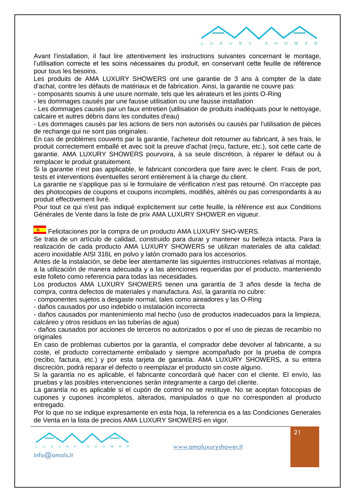

Avant l'installation, il faut lire attentivement les instructions suivantes concernant le montage, l'utilisation correcte et les soins nécessaires du produit, en conservant cette feuille de référence pour tous les besoins.

Les produits de AMA LUXURY SHOWERS ont une garantie de 3 ans à compter de la date d'achat, contre les défauts de matériaux et de fabrication. Ainsi, la garantie ne couvre pas:

- composants soumis à une usure normale, tels que les aérateurs et les joints O-Ring

- les dommages causés par une fausse utilisation ou une fausse installation

- Les dommages causés par un faux entretien (utilisation de produits inadéquats pour le nettoyage, calcaire et autres débris dans les conduites d'eau)

- Les dommages causés par les actions de tiers non autorisés ou causés par l'utilisation de pièces de rechange qui ne sont pas originales.

En cas de problèmes couverts par la garantie, l'acheteur doit retourner au fabricant, à ses frais, le produit correctement emballé et avec soit la preuve d'achat (reçu, facture, etc.), soit cette carte de garantie. AMA LUXURY SHOWERS pourvoira, à sa seule discrétion, à réparer le défaut ou à remplacer le produit gratuitement.

Si la garantie n'est pas applicable, le fabricant concordera que faire avec le client. Frais de port, tests et interventions éventuelles seront entièrement à la charge du client.

La garantie ne s'applique pas si le formulaire de vérification n'est pas retourné. On n'accepte pas des photocopies de coupons et coupons incomplets, modifiés, altérés ou pas correspondants à au produit effectivement livré.

Pour tout ce qui n'est pas indiqué explicitement sur cette feuille, la référence est aux Conditions Générales de Vente dans la liste de prix AMA LUXURY SHOWER en vigueur.

**FRICITACIONES por la compra de un producto AMA LUXURY SHO-WERS.** 

Se trata de un artículo de calidad, construido para durar y mantener su belleza intacta. Para la realización de cada producto AMA LUXURY SHOWERS se utilizan materiales de alta calidad: acero inoxidable AISI 316L en polvo y latón cromado para los accesorios.

Antes de la instalación, se debe leer atentamente las siguientes instrucciones relativas al montaje, a la utilización de manera adecuada y a las atenciones requeridas por el producto, manteniendo este folleto como referencia para todas las necesidades.

Los productos AMA LUXURY SHOWERS tienen una garantía de 3 años desde la fecha de compra, contra defectos de materiales y manufactura. Así, la garantía no cubre:

- componentes sujetos a desgaste normal, tales como aireadores y las O-Ring

- daños causados por uso indebido o instalación incorrecta

- daños causados por mantenimiento mal hecho (uso de productos inadecuados para la limpieza, calcáreo y otros residuos en las tuberías de agua)

- daños causados por acciones de terceros no autorizados o por el uso de piezas de recambio no originales

En caso de problemas cubiertos por la garantía, el comprador debe devolver al fabricante, a su coste, el producto correctamente embalado y siempre acompañado por la prueba de compra (recibo, factura, etc.) y por esta tarjeta de garantía. AMA LUXURY SHOWERS, a su entera discreción, podrá reparar el defecto o reemplazar el producto sin coste alguno.

Si la garantía no es aplicable, el fabricante concordará qué hacer con el cliente. El envío, las pruebas y las posibles intervenciones serán íntegramente a cargo del cliente.

La garantía no es aplicable si el cupón de control no se restituye. No se aceptan fotocopias de cupones y cupones incompletos, alterados, manipulados o que no corresponden al producto entregado.

Por lo que no se indique expresamente en esta hoja, la referencia es a las Condiciones Generales de Venta en la lista de precios AMA LUXURY SHOWERS en vigor.

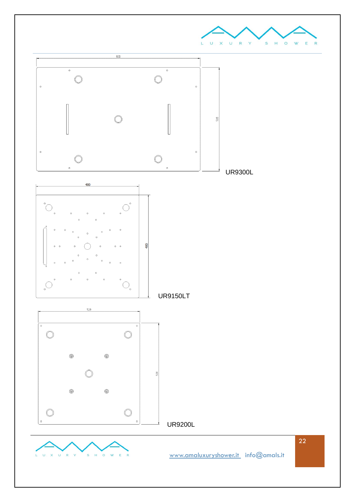